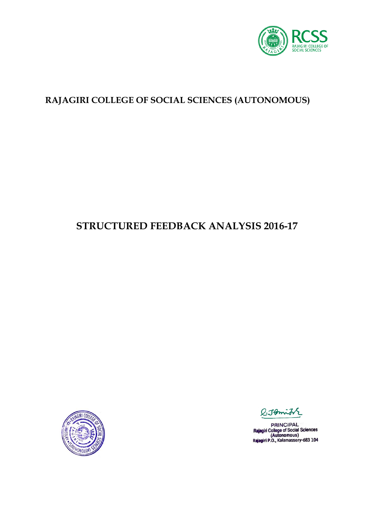

### **RAJAGIRI COLLEGE OF SOCIAL SCIENCES (AUTONOMOUS)**

# **STRUCTURED FEEDBACK ANALYSIS 2016-17**



Jomit

**PRINCIPAL** PHINCIPAL<br>Rajagiri College of Social Sciences<br>(Autonomous)<br>Rajagiri P.O., Kalamassery-683 104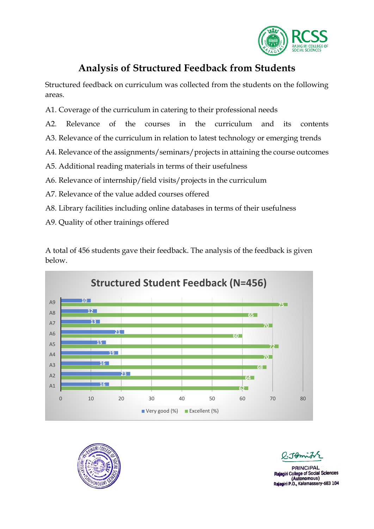

## **Analysis of Structured Feedback from Students**

Structured feedback on curriculum was collected from the students on the following areas.

- A1. Coverage of the curriculum in catering to their professional needs
- A2. Relevance of the courses in the curriculum and its contents
- A3. Relevance of the curriculum in relation to latest technology or emerging trends
- A4. Relevance of the assignments/seminars/projects in attaining the course outcomes
- A5. Additional reading materials in terms of their usefulness
- A6. Relevance of internship/field visits/projects in the curriculum
- A7. Relevance of the value added courses offered
- A8. Library facilities including online databases in terms of their usefulness
- A9. Quality of other trainings offered

A total of 456 students gave their feedback. The analysis of the feedback is given below.





**PRINCIPAL** iri College of Social Sciences (Autonomous) Rajagiri P.O., Kalamassery-683 104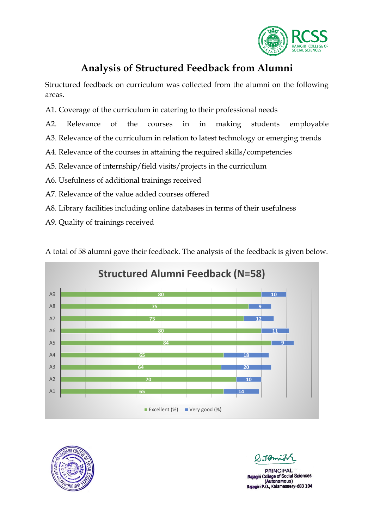

## **Analysis of Structured Feedback from Alumni**

Structured feedback on curriculum was collected from the alumni on the following areas.

- A1. Coverage of the curriculum in catering to their professional needs
- A2. Relevance of the courses in in making students employable
- A3. Relevance of the curriculum in relation to latest technology or emerging trends
- A4. Relevance of the courses in attaining the required skills/competencies
- A5. Relevance of internship/field visits/projects in the curriculum
- A6. Usefulness of additional trainings received
- A7. Relevance of the value added courses offered
- A8. Library facilities including online databases in terms of their usefulness
- A9. Quality of trainings received

A total of 58 alumni gave their feedback. The analysis of the feedback is given below.





Tomin

**PRINCIPAL** giri College of Social Sciences (Autonomous) Rajagiri P.O., Kalamassery-683 104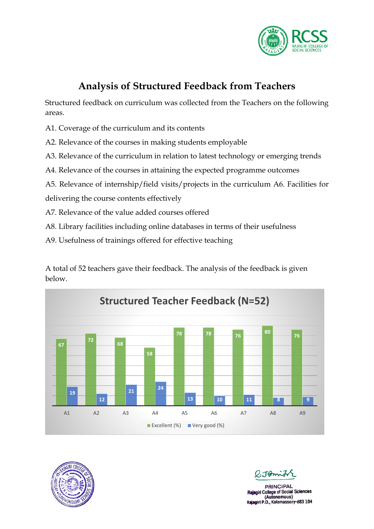

## **Analysis of Structured Feedback from Teachers**

Structured feedback on curriculum was collected from the Teachers on the following areas.

- A1. Coverage of the curriculum and its contents
- A2. Relevance of the courses in making students employable
- A3. Relevance of the curriculum in relation to latest technology or emerging trends
- A4. Relevance of the courses in attaining the expected programme outcomes
- A5. Relevance of internship/field visits/projects in the curriculum A6. Facilities for delivering the course contents effectively
- A7. Relevance of the value added courses offered
- A8. Library facilities including online databases in terms of their usefulness
- A9. Usefulness of trainings offered for effective teaching

A total of 52 teachers gave their feedback. The analysis of the feedback is given below.





 $2.7$ 

**PRINCIPAL** giri College of Social Sciences (Autonomous) Rajagiri P.O., Kalamassery-683 104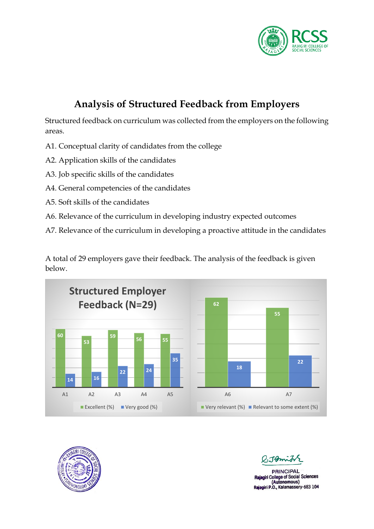

# **Analysis of Structured Feedback from Employers**

Structured feedback on curriculum was collected from the employers on the following areas.

- A1. Conceptual clarity of candidates from the college
- A2. Application skills of the candidates
- A3. Job specific skills of the candidates
- A4. General competencies of the candidates
- A5. Soft skills of the candidates
- A6. Relevance of the curriculum in developing industry expected outcomes
- A7. Relevance of the curriculum in developing a proactive attitude in the candidates

A total of 29 employers gave their feedback. The analysis of the feedback is given below.





**PRINCIPAL** College of Social Sciences (Autonomous) Rajagiri P.O., Kalamassery-683 104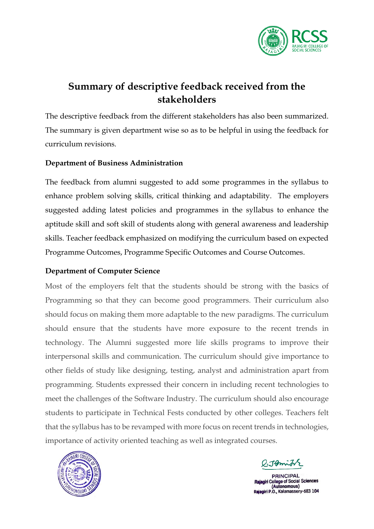

## **Summary of descriptive feedback received from the stakeholders**

The descriptive feedback from the different stakeholders has also been summarized. The summary is given department wise so as to be helpful in using the feedback for curriculum revisions.

### **Department of Business Administration**

The feedback from alumni suggested to add some programmes in the syllabus to enhance problem solving skills, critical thinking and adaptability. The employers suggested adding latest policies and programmes in the syllabus to enhance the aptitude skill and soft skill of students along with general awareness and leadership skills. Teacher feedback emphasized on modifying the curriculum based on expected Programme Outcomes, Programme Specific Outcomes and Course Outcomes.

### **Department of Computer Science**

Most of the employers felt that the students should be strong with the basics of Programming so that they can become good programmers. Their curriculum also should focus on making them more adaptable to the new paradigms. The curriculum should ensure that the students have more exposure to the recent trends in technology. The Alumni suggested more life skills programs to improve their interpersonal skills and communication. The curriculum should give importance to other fields of study like designing, testing, analyst and administration apart from programming. Students expressed their concern in including recent technologies to meet the challenges of the Software Industry. The curriculum should also encourage students to participate in Technical Fests conducted by other colleges. Teachers felt that the syllabus has to be revamped with more focus on recent trends in technologies, importance of activity oriented teaching as well as integrated courses.



 $-1$ mio

**PRINCIPAL Rajagiri College of Social Sciences** (Autonomous) Rajagiri P.O., Kalamassery-683 104